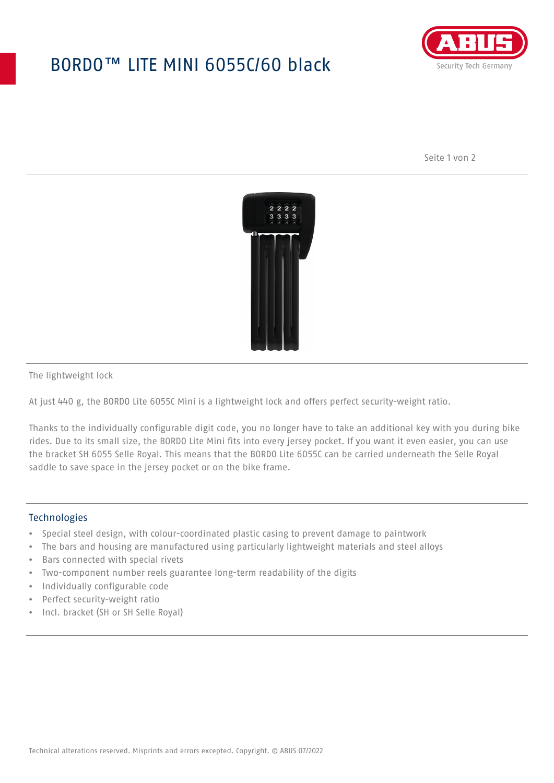## BORDO™ LITE MINI 6055C/60 black



Seite 1 von 2



The lightweight lock

At just 440 g, the BORDO Lite 6055C Mini is a lightweight lock and offers perfect security-weight ratio.

Thanks to the individually configurable digit code, you no longer have to take an additional key with you during bike rides. Due to its small size, the BORDO Lite Mini fits into every jersey pocket. If you want it even easier, you can use the bracket SH 6055 Selle Royal. This means that the BORDO Lite 6055C can be carried underneath the Selle Royal saddle to save space in the jersey pocket or on the bike frame.

## **Technologies**

- Special steel design, with colour-coordinated plastic casing to prevent damage to paintwork
- The bars and housing are manufactured using particularly lightweight materials and steel alloys
- Bars connected with special rivets
- Two-component number reels guarantee long-term readability of the digits
- Individually configurable code
- Perfect security-weight ratio
- Incl. bracket (SH or SH Selle Royal)